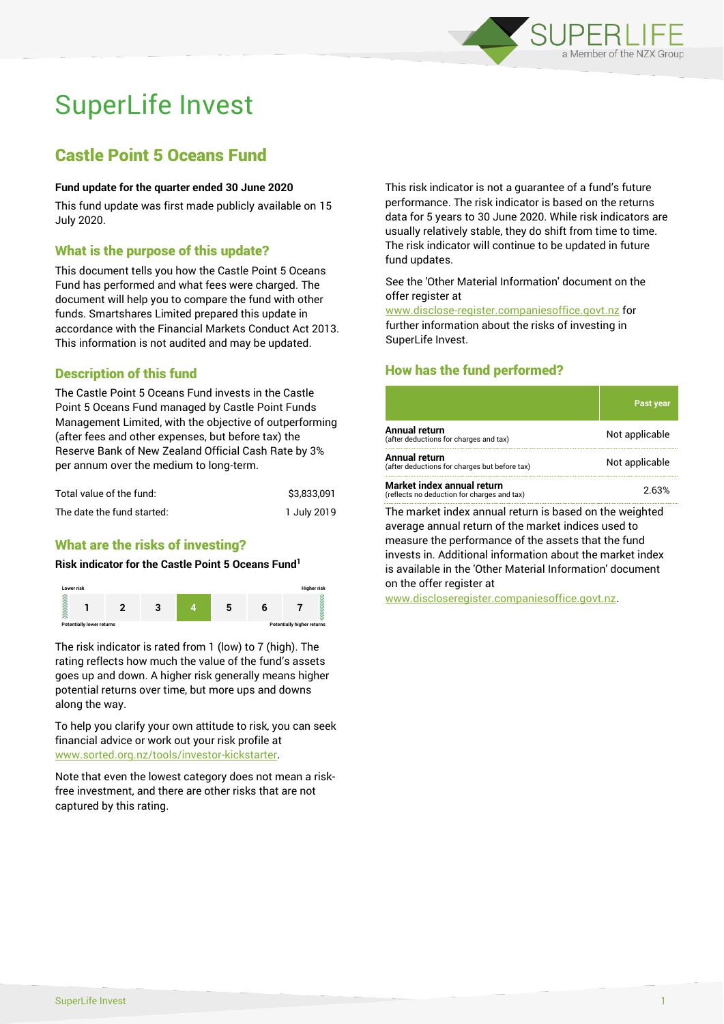

# SuperLife Invest

## Castle Point 5 Oceans Fund

### **Fund update for the quarter ended 30 June 2020**

This fund update was first made publicly available on 15 July 2020.

## What is the purpose of this update?

This document tells you how the Castle Point 5 Oceans Fund has performed and what fees were charged. The document will help you to compare the fund with other funds. Smartshares Limited prepared this update in accordance with the Financial Markets Conduct Act 2013. This information is not audited and may be updated.

## Description of this fund

The Castle Point 5 Oceans Fund invests in the Castle Point 5 Oceans Fund managed by Castle Point Funds Management Limited, with the objective of outperforming (after fees and other expenses, but before tax) the Reserve Bank of New Zealand Official Cash Rate by 3% per annum over the medium to long-term.

| Total value of the fund:   | \$3.833.091 |
|----------------------------|-------------|
| The date the fund started: | 1 July 2019 |

## What are the risks of investing?

## **Risk indicator for the Castle Point 5 Oceans Fund<sup>1</sup>**



The risk indicator is rated from 1 (low) to 7 (high). The rating reflects how much the value of the fund's assets goes up and down. A higher risk generally means higher potential returns over time, but more ups and downs along the way.

To help you clarify your own attitude to risk, you can seek financial advice or work out your risk profile at [www.sorted.org.nz/tools/investor-kickstarter.](http://www.sorted.org.nz/tools/investor-kickstarter)

Note that even the lowest category does not mean a riskfree investment, and there are other risks that are not captured by this rating.

This risk indicator is not a guarantee of a fund's future performance. The risk indicator is based on the returns data for 5 years to 30 June 2020. While risk indicators are usually relatively stable, they do shift from time to time. The risk indicator will continue to be updated in future fund updates.

#### See the 'Other Material Information' document on the offer register at

www.disclose-register.companiesoffice.govt.nz for further information about the risks of investing in SuperLife Invest.

## How has the fund performed?

|                                                                           | Past year      |
|---------------------------------------------------------------------------|----------------|
| Annual return<br>(after deductions for charges and tax)                   | Not applicable |
| Annual return<br>(after deductions for charges but before tax)            | Not applicable |
| Market index annual return<br>(reflects no deduction for charges and tax) | 2.63%          |
|                                                                           |                |

The market index annual return is based on the weighted average annual return of the market indices used to measure the performance of the assets that the fund invests in. Additional information about the market index is available in the 'Other Material Information' document on the offer register at

www.discloseregister.companiesoffice.govt.nz.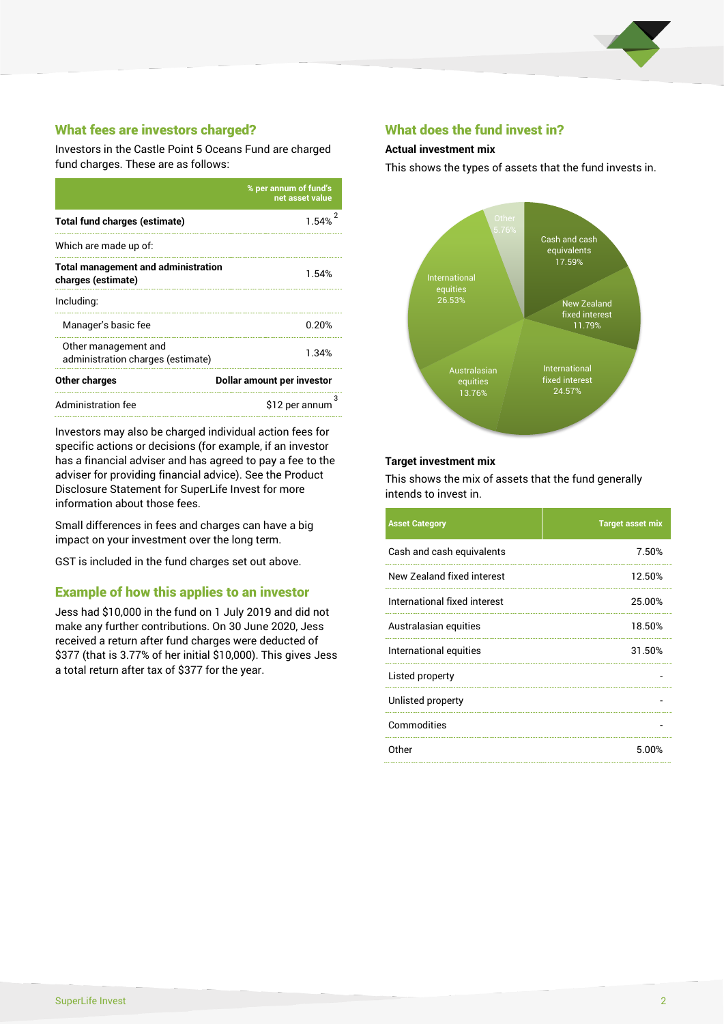

## What fees are investors charged?

Investors in the Castle Point 5 Oceans Fund are charged fund charges. These are as follows:

|                                                                  | % per annum of fund's<br>net asset value |  |
|------------------------------------------------------------------|------------------------------------------|--|
| <b>Total fund charges (estimate)</b>                             | 1.54%                                    |  |
| Which are made up of:                                            |                                          |  |
| <b>Total management and administration</b><br>charges (estimate) | 1.54%                                    |  |
| Including:                                                       |                                          |  |
| Manager's basic fee                                              | 0.20%                                    |  |
| Other management and<br>administration charges (estimate)        | 1.34%                                    |  |
| Other charges                                                    | Dollar amount per investor               |  |
| Administration fee                                               | \$12 per annum                           |  |

Investors may also be charged individual action fees for specific actions or decisions (for example, if an investor has a financial adviser and has agreed to pay a fee to the adviser for providing financial advice). See the Product Disclosure Statement for SuperLife Invest for more information about those fees.

Small differences in fees and charges can have a big impact on your investment over the long term.

GST is included in the fund charges set out above.

## Example of how this applies to an investor

Jess had \$10,000 in the fund on 1 July 2019 and did not make any further contributions. On 30 June 2020, Jess received a return after fund charges were deducted of \$377 (that is 3.77% of her initial \$10,000). This gives Jess a total return after tax of \$377 for the year.

## What does the fund invest in?

#### **Actual investment mix**

This shows the types of assets that the fund invests in.



#### **Target investment mix**

This shows the mix of assets that the fund generally intends to invest in.

| <b>Asset Category</b>        | <b>Target asset mix</b> |
|------------------------------|-------------------------|
| Cash and cash equivalents    | 7.50%                   |
| New Zealand fixed interest   | 12.50%                  |
| International fixed interest | 25.00%                  |
| Australasian equities        | 18.50%                  |
| International equities       | 31.50%                  |
| Listed property              |                         |
| Unlisted property            |                         |
| Commodities                  |                         |
| Other                        | 5.00%                   |